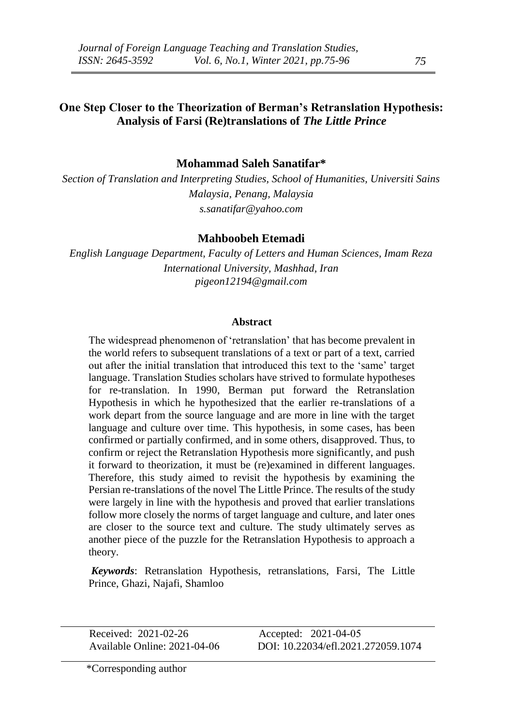## **One Step Closer to the Theorization of Berman's Retranslation Hypothesis: Analysis of Farsi (Re)translations of** *The Little Prince*

## **Mohammad Saleh Sanatifar\***

*Section of Translation and Interpreting Studies, School of Humanities, Universiti Sains Malaysia, Penang, Malaysia s.sanatifar@yahoo.com*

#### **Mahboobeh Etemadi**

*English Language Department, Faculty of Letters and Human Sciences, Imam Reza International University, Mashhad, Iran pigeon12194@gmail.com*

#### **Abstract**

The widespread phenomenon of 'retranslation' that has become prevalent in the world refers to subsequent translations of a text or part of a text, carried out after the initial translation that introduced this text to the 'same' target language. Translation Studies scholars have strived to formulate hypotheses for re-translation. In 1990, Berman put forward the Retranslation Hypothesis in which he hypothesized that the earlier re-translations of a work depart from the source language and are more in line with the target language and culture over time. This hypothesis, in some cases, has been confirmed or partially confirmed, and in some others, disapproved. Thus, to confirm or reject the Retranslation Hypothesis more significantly, and push it forward to theorization, it must be (re)examined in different languages. Therefore, this study aimed to revisit the hypothesis by examining the Persian re-translations of the novel The Little Prince. The results of the study were largely in line with the hypothesis and proved that earlier translations follow more closely the norms of target language and culture, and later ones are closer to the source text and culture. The study ultimately serves as another piece of the puzzle for the Retranslation Hypothesis to approach a theory.

*Keywords*: Retranslation Hypothesis, retranslations, Farsi, The Little Prince, Ghazi, Najafi, Shamloo

**Received: 2021-02-26** Accepted: 2021-04-05

Available Online: 2021-04-06 DOI: 10.22034/efl.2021.272059.1074

\*Corresponding author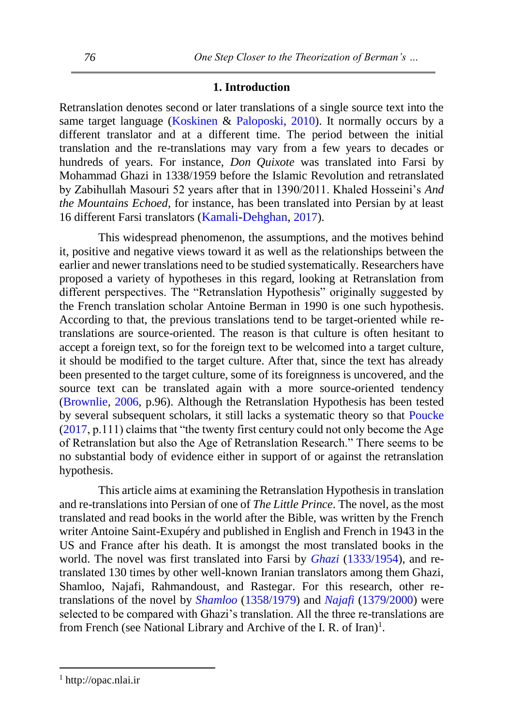### **1. Introduction**

Retranslation denotes second or later translations of a single source text into the same target language [\(Koskinen](#page-20-0) & [Paloposki, 2010\)](#page-20-0). It normally occurs by a different translator and at a different time. The period between the initial translation and the re-translations may vary from a few years to decades or hundreds of years. For instance, *Don Quixote* was translated into Farsi by Mohammad Ghazi in 1338/1959 before the Islamic Revolution and retranslated by Zabihullah Masouri 52 years after that in 1390/2011. Khaled Hosseini's *And the Mountains Echoed*, for instance, has been translated into Persian by at least 16 different Farsi translators ([Kamali-Dehghan,](#page-20-1) [2017\)](#page-20-1).

This widespread phenomenon, the assumptions, and the motives behind it, positive and negative views toward it as well as the relationships between the earlier and newer translations need to be studied systematically. Researchers have proposed a variety of hypotheses in this regard, looking at Retranslation from different perspectives. The "Retranslation Hypothesis" originally suggested by the French translation scholar Antoine Berman in 1990 is one such hypothesis. According to that, the previous translations tend to be target-oriented while retranslations are source-oriented. The reason is that culture is often hesitant to accept a foreign text, so for the foreign text to be welcomed into a target culture, it should be modified to the target culture. After that, since the text has already been presented to the target culture, some of its foreignness is uncovered, and the source text can be translated again with a more source-oriented tendency [\(Brownlie, 2006,](#page-19-0) p.96). Although the Retranslation Hypothesis has been tested by several subsequent scholars, it still lacks a systematic theory so that [Poucke](#page-20-2)  $(2017, p.111)$  $(2017, p.111)$  claims that "the twenty first century could not only become the Age of Retranslation but also the Age of Retranslation Research." There seems to be no substantial body of evidence either in support of or against the retranslation hypothesis.

This article aims at examining the Retranslation Hypothesis in translation and re-translations into Persian of one of *The Little Prince*. The novel, as the most translated and read books in the world after the Bible, was written by the French writer Antoine Saint-Exupéry and published in English and French in 1943 in the US and France after his death. It is amongst the most translated books in the world. The novel was first translated into Farsi by *[Ghazi](#page-21-0)* [\(1333/1954\)](#page-21-0), and retranslated 130 times by other well-known Iranian translators among them Ghazi, Shamloo, Najafi, Rahmandoust, and Rastegar. For this research, other retranslations of the novel by *[Shamloo](#page-21-1)* [\(1358/1979\)](#page-21-1) and *[Najafi](#page-21-2)* [\(1379/2000\)](#page-21-2) were selected to be compared with Ghazi's translation. All the three re-translations are from French (see National Library and Archive of the I. R. of Iran)<sup>1</sup>.

-

<sup>1</sup> http://opac.nlai.ir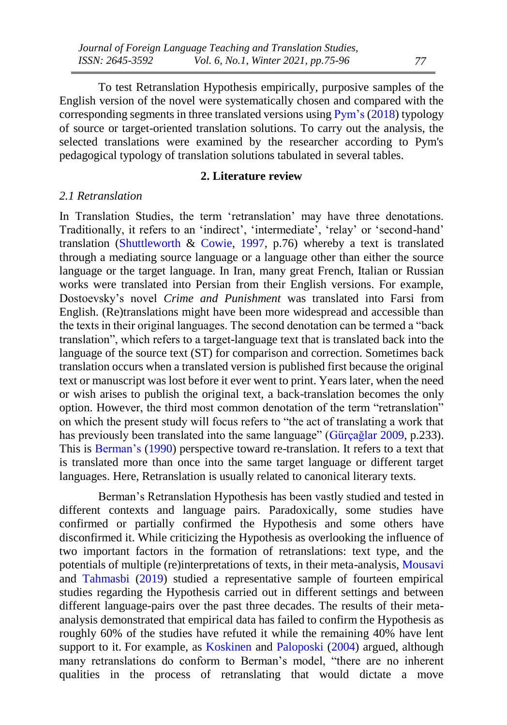To test Retranslation Hypothesis empirically, purposive samples of the English version of the novel were systematically chosen and compared with the corresponding segments in three translated versions using  $Pym's (2018)$  $Pym's (2018)$  typology of source or target-oriented translation solutions. To carry out the analysis, the selected translations were examined by the researcher according to Pym's pedagogical typology of translation solutions tabulated in several tables.

## **2. Literature review**

#### *2.1 Retranslation*

In Translation Studies, the term 'retranslation' may have three denotations. Traditionally, it refers to an 'indirect', 'intermediate', 'relay' or 'second-hand' translation [\(Shuttleworth](#page-21-4)  $\&$  [Cowie,](#page-21-4) [1997,](#page-21-4) p.76) whereby a text is translated through a mediating source language or a language other than either the source language or the target language. In Iran, many great French, Italian or Russian works were translated into Persian from their English versions. For example, Dostoevsky's novel *Crime and Punishment* was translated into Farsi from English. (Re)translations might have been more widespread and accessible than the texts in their original languages. The second denotation can be termed a "back translation", which refers to a target-language text that is translated back into the language of the source text (ST) for comparison and correction. Sometimes back translation occurs when a translated version is published first because the original text or manuscript was lost before it ever went to print. Years later, when the need or wish arises to publish the original text, a back-translation becomes the only option. However, the third most common denotation of the term "retranslation" on which the present study will focus refers to "the act of translating a work that has previously been translated into the same language" [\(Gürçağlar](#page-20-3) [2009,](#page-20-3) p.233). This is [Berman's](#page-19-1) [\(1990\)](#page-19-1) perspective toward re-translation. It refers to a text that is translated more than once into the same target language or different target languages. Here, Retranslation is usually related to canonical literary texts.

Berman's Retranslation Hypothesis has been vastly studied and tested in different contexts and language pairs. Paradoxically, some studies have confirmed or partially confirmed the Hypothesis and some others have disconfirmed it. While criticizing the Hypothesis as overlooking the influence of two important factors in the formation of retranslations: text type, and the potentials of multiple (re)interpretations of texts, in their meta-analysis, [Mousavi](#page-20-4) and [Tahmasbi](#page-20-4) [\(2019\)](#page-20-4) studied a representative sample of fourteen empirical studies regarding the Hypothesis carried out in different settings and between different language-pairs over the past three decades. The results of their metaanalysis demonstrated that empirical data has failed to confirm the Hypothesis as roughly 60% of the studies have refuted it while the remaining 40% have lent support to it. For example, as [Koskinen](#page-20-0) and [Paloposki](#page-20-0) [\(2004\)](#page-20-0) argued, although many retranslations do conform to Berman's model, "there are no inherent qualities in the process of retranslating that would dictate a move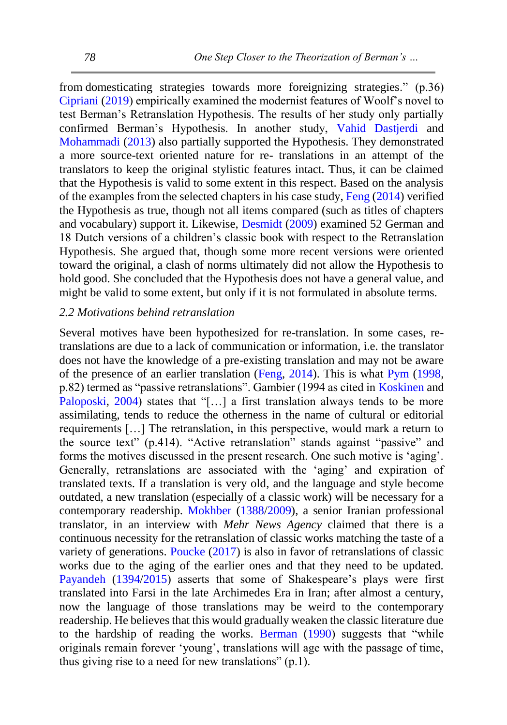from domesticating strategies towards more foreignizing strategies." (p.36) [Cipriani](#page-20-5) [\(2019\)](#page-20-5) empirically examined the modernist features of Woolf's novel to test Berman's Retranslation Hypothesis. The results of her study only partially confirmed Berman's Hypothesis. In another study, Vahid Dastjerdi and Mohammadi (2013) also partially supported the Hypothesis. They demonstrated a more source-text oriented nature for re- translations in an attempt of the translators to keep the original stylistic features intact. Thus, it can be claimed that the Hypothesis is valid to some extent in this respect. Based on the analysis of the examples from the selected chapters in his case study, [Feng](#page-20-6) [\(2014\)](#page-20-6) verified the Hypothesis as true, though not all items compared (such as titles of chapters and vocabulary) support it. Likewise, [Desmidt](#page-20-7) [\(2009\)](#page-20-7) examined 52 German and 18 Dutch versions of a children's classic book with respect to the Retranslation Hypothesis. She argued that, though some more recent versions were oriented toward the original, a clash of norms ultimately did not allow the Hypothesis to hold good. She concluded that the Hypothesis does not have a general value, and might be valid to some extent, but only if it is not formulated in absolute terms.

## *2.2 Motivations behind retranslation*

Several motives have been hypothesized for re-translation. In some cases, retranslations are due to a lack of communication or information, i.e. the translator does not have the knowledge of a pre-existing translation and may not be aware of the presence of an earlier translation [\(Feng, 2014\)](#page-20-6). This is what [Pym](#page-20-8) [\(1998,](#page-20-8) p.82) termed as "passive retranslations". Gambier (1994 as cited in [Koskinen](#page-20-0) and [Paloposki, 2004\)](#page-20-0) states that "[...] a first translation always tends to be more assimilating, tends to reduce the otherness in the name of cultural or editorial requirements […] The retranslation, in this perspective, would mark a return to the source text" (p.414). "Active retranslation" stands against "passive" and forms the motives discussed in the present research. One such motive is 'aging'. Generally, retranslations are associated with the 'aging' and expiration of translated texts. If a translation is very old, and the language and style become outdated, a new translation (especially of a classic work) will be necessary for a contemporary readership. [Mokhber](#page-20-9) [\(1388/2009\)](#page-20-9), a senior Iranian professional translator, in an interview with *Mehr News Agency* claimed that there is a continuous necessity for the retranslation of classic works matching the taste of a variety of generations. [Poucke](#page-20-2) [\(2017\)](#page-20-2) is also in favor of retranslations of classic works due to the aging of the earlier ones and that they need to be updated. [Payandeh](#page-20-10) [\(1394/2015\)](#page-20-10) asserts that some of Shakespeare's plays were first translated into Farsi in the late Archimedes Era in Iran; after almost a century, now the language of those translations may be weird to the contemporary readership. He believes that this would gradually weaken the classic literature due to the hardship of reading the works. [Berman](#page-19-1) [\(1990\)](#page-19-1) suggests that "while originals remain forever 'young', translations will age with the passage of time, thus giving rise to a need for new translations" (p.1).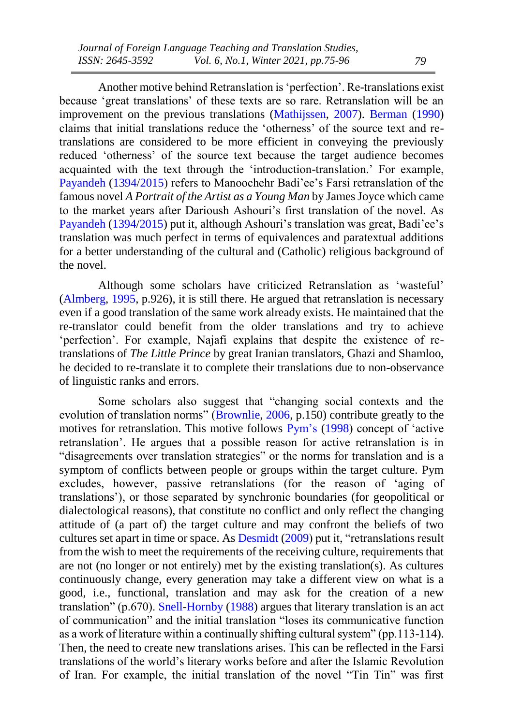Another motive behind Retranslation is 'perfection'. Re-translations exist because 'great translations' of these texts are so rare. Retranslation will be an improvement on the previous translations [\(Mathijssen, 2007\)](#page-20-11). [Berman](#page-19-1) [\(1990\)](#page-19-1) claims that initial translations reduce the 'otherness' of the source text and retranslations are considered to be more efficient in conveying the previously reduced 'otherness' of the source text because the target audience becomes acquainted with the text through the 'introduction-translation.' For example, [Payandeh](#page-20-10) [\(1394/2015\)](#page-20-10) refers to Manoochehr Badi'ee's Farsi retranslation of the famous novel *A Portrait of the Artist as a Young Man* by James Joyce which came to the market years after Darioush Ashouri's first translation of the novel. As [Payandeh](#page-20-10) [\(1394/2015\)](#page-20-10) put it, although Ashouri's translation was great, Badi'ee's translation was much perfect in terms of equivalences and paratextual additions for a better understanding of the cultural and (Catholic) religious background of the novel.

Although some scholars have criticized Retranslation as 'wasteful' [\(Almberg, 1995,](#page-19-2) p.926), it is still there. He argued that retranslation is necessary even if a good translation of the same work already exists. He maintained that the re-translator could benefit from the older translations and try to achieve 'perfection'. For example, Najafi explains that despite the existence of retranslations of *The Little Prince* by great Iranian translators, Ghazi and Shamloo, he decided to re-translate it to complete their translations due to non-observance of linguistic ranks and errors.

Some scholars also suggest that "changing social contexts and the evolution of translation norms" [\(Brownlie, 2006,](#page-19-0) p.150) contribute greatly to the motives for retranslation. This motive follows [Pym's](#page-20-8) [\(1998\)](#page-20-8) concept of 'active retranslation'. He argues that a possible reason for active retranslation is in "disagreements over translation strategies" or the norms for translation and is a symptom of conflicts between people or groups within the target culture. Pym excludes, however, passive retranslations (for the reason of 'aging of translations'), or those separated by synchronic boundaries (for geopolitical or dialectological reasons), that constitute no conflict and only reflect the changing attitude of (a part of) the target culture and may confront the beliefs of two cultures set apart in time or space. A[s Desmidt](#page-20-7) [\(2009\)](#page-20-7) put it, "retranslations result from the wish to meet the requirements of the receiving culture, requirements that are not (no longer or not entirely) met by the existing translation(s). As cultures continuously change, every generation may take a different view on what is a good, i.e., functional, translation and may ask for the creation of a new translation" (p.670). [Snell-Hornby](#page-21-5) [\(1988\)](#page-21-5) argues that literary translation is an act of communication" and the initial translation "loses its communicative function as a work of literature within a continually shifting cultural system" (pp.113-114). Then, the need to create new translations arises. This can be reflected in the Farsi translations of the world's literary works before and after the Islamic Revolution of Iran. For example, the initial translation of the novel "Tin Tin" was first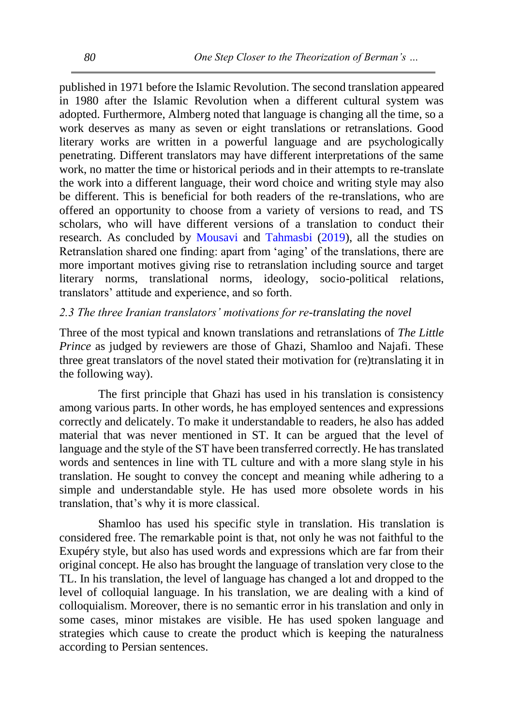published in 1971 before the Islamic Revolution. The second translation appeared in 1980 after the Islamic Revolution when a different cultural system was adopted. Furthermore, Almberg noted that language is changing all the time, so a work deserves as many as seven or eight translations or retranslations. Good literary works are written in a powerful language and are psychologically penetrating. Different translators may have different interpretations of the same work, no matter the time or historical periods and in their attempts to re-translate the work into a different language, their word choice and writing style may also be different. This is beneficial for both readers of the re-translations, who are offered an opportunity to choose from a variety of versions to read, and TS scholars, who will have different versions of a translation to conduct their research. As concluded by [Mousavi](#page-20-4) and [Tahmasbi](#page-20-4) [\(2019\)](#page-20-4), all the studies on Retranslation shared one finding: apart from 'aging' of the translations, there are more important motives giving rise to retranslation including source and target literary norms, translational norms, ideology, socio-political relations, translators' attitude and experience, and so forth.

## *2.3 The three Iranian translators' motivations for re-translating the novel*

Three of the most typical and known translations and retranslations of *The Little Prince* as judged by reviewers are those of Ghazi, Shamloo and Najafi. These three great translators of the novel stated their motivation for (re)translating it in the following way).

The first principle that Ghazi has used in his translation is consistency among various parts. In other words, he has employed sentences and expressions correctly and delicately. To make it understandable to readers, he also has added material that was never mentioned in ST. It can be argued that the level of language and the style of the ST have been transferred correctly. He has translated words and sentences in line with TL culture and with a more slang style in his translation. He sought to convey the concept and meaning while adhering to a simple and understandable style. He has used more obsolete words in his translation, that's why it is more classical.

Shamloo has used his specific style in translation. His translation is considered free. The remarkable point is that, not only he was not faithful to the Exupéry style, but also has used words and expressions which are far from their original concept. He also has brought the language of translation very close to the TL. In his translation, the level of language has changed a lot and dropped to the level of colloquial language. In his translation, we are dealing with a kind of colloquialism. Moreover, there is no semantic error in his translation and only in some cases, minor mistakes are visible. He has used spoken language and strategies which cause to create the product which is keeping the naturalness according to Persian sentences.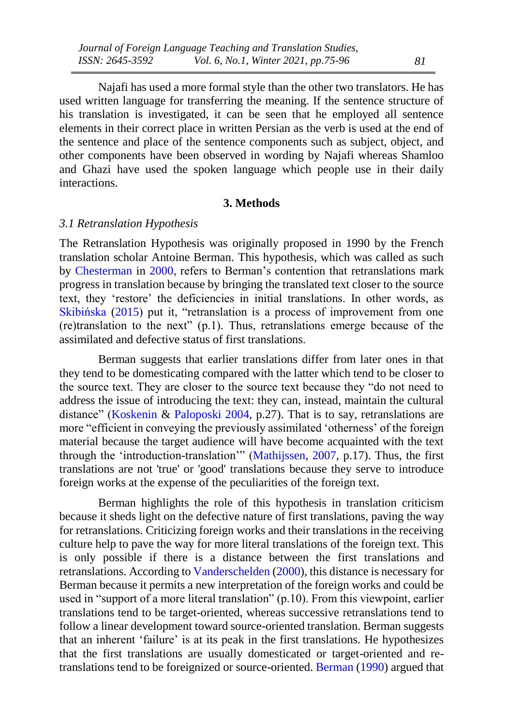Najafi has used a more formal style than the other two translators. He has used written language for transferring the meaning. If the sentence structure of his translation is investigated, it can be seen that he employed all sentence elements in their correct place in written Persian as the verb is used at the end of the sentence and place of the sentence components such as subject, object, and other components have been observed in wording by Najafi whereas Shamloo and Ghazi have used the spoken language which people use in their daily interactions.

#### **3. Methods**

### *3.1 Retranslation Hypothesis*

The Retranslation Hypothesis was originally proposed in 1990 by the French translation scholar Antoine Berman. This hypothesis, which was called as such by [Chesterman](#page-19-3) in [2000,](#page-19-3) refers to Berman's contention that retranslations mark progress in translation because by bringing the translated text closer to the source text, they 'restore' the deficiencies in initial translations. In other words, as [Skibińska](#page-21-6) [\(2015\)](#page-21-6) put it, "retranslation is a process of improvement from one (re)translation to the next" (p.1). Thus, retranslations emerge because of the assimilated and defective status of first translations.

Berman suggests that earlier translations differ from later ones in that they tend to be domesticating compared with the latter which tend to be closer to the source text. They are closer to the source text because they "do not need to address the issue of introducing the text: they can, instead, maintain the cultural distance" [\(Koskenin](#page-20-0) & [Paloposki](#page-20-0) [2004,](#page-20-0) p.27). That is to say, retranslations are more "efficient in conveying the previously assimilated 'otherness' of the foreign material because the target audience will have become acquainted with the text through the 'introduction-translation'" [\(Mathijssen, 2007,](#page-20-11) p.17). Thus, the first translations are not 'true' or 'good' translations because they serve to introduce foreign works at the expense of the peculiarities of the foreign text.

Berman highlights the role of this hypothesis in translation criticism because it sheds light on the defective nature of first translations, paving the way for retranslations. Criticizing foreign works and their translations in the receiving culture help to pave the way for more literal translations of the foreign text. This is only possible if there is a distance between the first translations and retranslations. According to Vanderschelden (2000), this distance is necessary for Berman because it permits a new interpretation of the foreign works and could be used in "support of a more literal translation" (p.10). From this viewpoint, earlier translations tend to be target-oriented, whereas successive retranslations tend to follow a linear development toward source-oriented translation. Berman suggests that an inherent 'failure' is at its peak in the first translations. He hypothesizes that the first translations are usually domesticated or target-oriented and retranslations tend to be foreignized or source-oriented[. Berman](#page-19-1) [\(1990\)](#page-19-1) argued that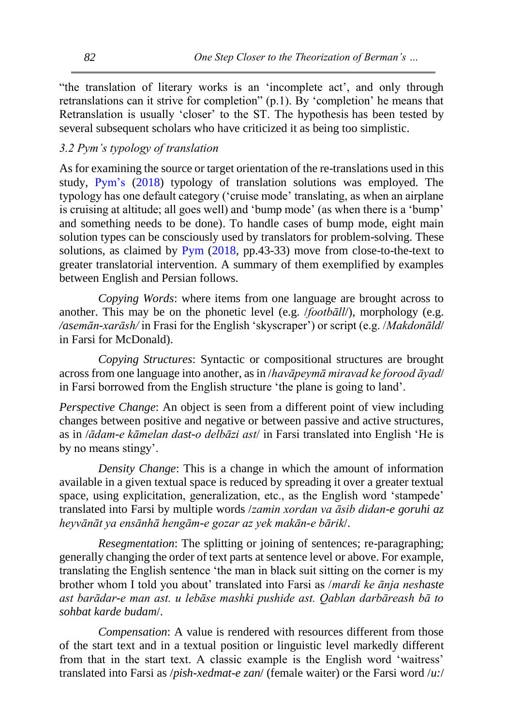"the translation of literary works is an 'incomplete act', and only through retranslations can it strive for completion" (p.1). By 'completion' he means that Retranslation is usually 'closer' to the ST. The hypothesis has been tested by several subsequent scholars who have criticized it as being too simplistic.

## *3.2 Pym's typology of translation*

As for examining the source or target orientation of the re-translations used in this study, [Pym's](#page-21-3) [\(2018\)](#page-21-3) typology of translation solutions was employed. The typology has one default category ('cruise mode' translating, as when an airplane is cruising at altitude; all goes well) and 'bump mode' (as when there is a 'bump' and something needs to be done). To handle cases of bump mode, eight main solution types can be consciously used by translators for problem-solving. These solutions, as claimed by [Pym](#page-21-3) [\(2018,](#page-21-3) pp.43-33) move from close-to-the-text to greater translatorial intervention. A summary of them exemplified by examples between English and Persian follows.

*Copying Words*: where items from one language are brought across to another. This may be on the phonetic level (e.g. /*footbāll*/), morphology (e.g. */asemān-xarāsh/* in Frasi for the English 'skyscraper') or script (e.g. /*Makdonāld*/ in Farsi for McDonald).

*Copying Structures*: Syntactic or compositional structures are brought across from one language into another, as in /*havāpeymā miravad ke forood āyad*/ in Farsi borrowed from the English structure 'the plane is going to land'.

*Perspective Change*: An object is seen from a different point of view including changes between positive and negative or between passive and active structures, as in /*ādam-e kāmelan dast-o delbāzi ast*/ in Farsi translated into English 'He is by no means stingy'.

*Density Change*: This is a change in which the amount of information available in a given textual space is reduced by spreading it over a greater textual space, using explicitation, generalization, etc., as the English word 'stampede' translated into Farsi by multiple words /*zamin xordan va āsib didan-e goruhi az heyvānāt ya ensānhā hengām-e gozar az yek makān-e bārik*/.

*Resegmentation*: The splitting or joining of sentences; re-paragraphing; generally changing the order of text parts at sentence level or above. For example, translating the English sentence 'the man in black suit sitting on the corner is my brother whom I told you about' translated into Farsi as /*mardi ke ānja neshaste ast barādar-e man ast. u lebāse mashki pushide ast. Qablan darbāreash bā to sohbat karde budam*/.

*Compensation*: A value is rendered with resources different from those of the start text and in a textual position or linguistic level markedly different from that in the start text. A classic example is the English word 'waitress' translated into Farsi as /*pish-xedmat-e zan*/ (female waiter) or the Farsi word /*u:*/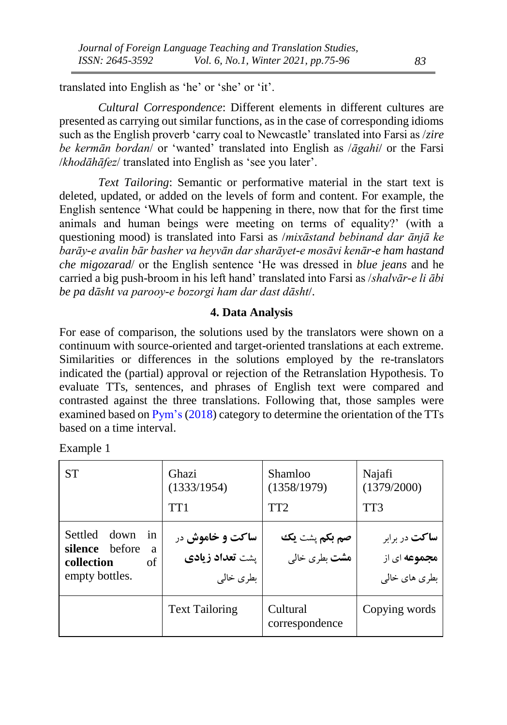translated into English as 'he' or 'she' or 'it'.

*Cultural Correspondence*: Different elements in different cultures are presented as carrying out similar functions, as in the case of corresponding idioms such as the English proverb 'carry coal to Newcastle' translated into Farsi as /*zire be kermān bordan*/ or 'wanted' translated into English as /*āgahi*/ or the Farsi /*khodāhāfez*/ translated into English as 'see you later'.

*Text Tailoring*: Semantic or performative material in the start text is deleted, updated, or added on the levels of form and content. For example, the English sentence 'What could be happening in there, now that for the first time animals and human beings were meeting on terms of equality?' (with a questioning mood) is translated into Farsi as /*mixāstand bebinand dar ānjā ke barāy-e avalin bār basher va heyvān dar sharāyet-e mosāvi kenār-e ham hastand che migozarad*/ or the English sentence 'He was dressed in *blue jeans* and he carried a big push-broom in his left hand' translated into Farsi as /*shalvār-e li ābi be pa dāsht va parooy-e bozorgi ham dar dast dāsht*/.

### **4. Data Analysis**

For ease of comparison, the solutions used by the translators were shown on a continuum with source-oriented and target-oriented translations at each extreme. Similarities or differences in the solutions employed by the re-translators indicated the (partial) approval or rejection of the Retranslation Hypothesis. To evaluate TTs, sentences, and phrases of English text were compared and contrasted against the three translations. Following that, those samples were examined based o[n Pym's](#page-21-3) [\(2018\)](#page-21-3) category to determine the orientation of the TTs based on a time interval.

| <b>ST</b>                                                                                    | Ghazi<br>(1333/1954)<br>TT <sub>1</sub>                | Shamloo<br>(1358/1979)<br>TT <sub>2</sub>            | Najafi<br>(1379/2000)<br>TT3                                 |
|----------------------------------------------------------------------------------------------|--------------------------------------------------------|------------------------------------------------------|--------------------------------------------------------------|
| <b>Settled</b><br>down<br>in<br>hefore<br>silence<br>a<br>collection<br>of<br>empty bottles. | ساکت و خاموش در<br><b>یشت تعداد زیادی</b><br>بطرى خالى | <b>صم بکم</b> پشت ی <b>ک</b><br><b>هشت</b> بطری خالی | <b>ساکت</b> در برابر<br><b>مجموعه</b> ای از<br>بطری های خالی |
|                                                                                              | <b>Text Tailoring</b>                                  | Cultural<br>correspondence                           | Copying words                                                |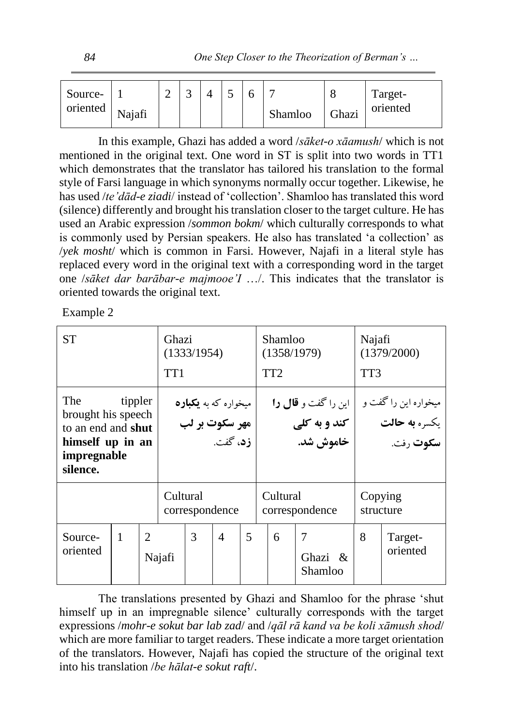| Source-<br>oriented | Najafi |  |  |  |  |  | Shamloo | <b>Thazi</b> | Target-<br>oriented |
|---------------------|--------|--|--|--|--|--|---------|--------------|---------------------|
|---------------------|--------|--|--|--|--|--|---------|--------------|---------------------|

In this example, Ghazi has added a word /*sāket-o xāamush*/ which is not mentioned in the original text. One word in ST is split into two words in TT1 which demonstrates that the translator has tailored his translation to the formal style of Farsi language in which synonyms normally occur together. Likewise, he has used /*te'dād-e ziadi*/ instead of 'collection'. Shamloo has translated this word (silence) differently and brought his translation closer to the target culture. He has used an Arabic expression /*sommon bokm*/ which culturally corresponds to what is commonly used by Persian speakers. He also has translated 'a collection' as /*yek mosht*/ which is common in Farsi. However, Najafi in a literal style has replaced every word in the original text with a corresponding word in the target one /*sāket dar barābar-e majmooe'I* …/. This indicates that the translator is oriented towards the original text.

Example 2

| <b>ST</b>                                                                                             |         |                                                                               | Ghazi<br>TT <sub>1</sub> | (1333/1954)    |                          |   |          | Shamloo<br>(1358/1979)<br>TT <sub>2</sub>                       |                                      | Najafi<br>(1379/2000)<br>TT3                                      |                     |  |
|-------------------------------------------------------------------------------------------------------|---------|-------------------------------------------------------------------------------|--------------------------|----------------|--------------------------|---|----------|-----------------------------------------------------------------|--------------------------------------|-------------------------------------------------------------------|---------------------|--|
| The<br>brought his speech<br>to an end and <b>shut</b><br>himself up in an<br>impregnable<br>silence. | tippler | میخواره که به <b>یکبارد</b><br> <br>  مهر سکوت بر لب<br>۔<br><b>زد</b> ، گفت. |                          |                |                          |   |          | این را گفت و <b>قال را</b><br>کند و به کلی $\vert$<br>خاموش شد. |                                      | میخواره این را گفت و<br>یکسره <b>به حالت</b><br>س <b>كوت</b> رفت. |                     |  |
|                                                                                                       |         |                                                                               | Cultural                 | correspondence |                          |   | Cultural |                                                                 | correspondence                       | Copying                                                           | structure           |  |
| Source-<br>oriented                                                                                   | 1       | $\mathcal{D}_{\mathcal{L}}$                                                   | Najafi                   | 3              | $\overline{\mathcal{A}}$ | 5 |          | 6                                                               | $\overline{7}$<br>Ghazi &<br>Shamloo | 8                                                                 | Target-<br>oriented |  |

The translations presented by Ghazi and Shamloo for the phrase 'shut himself up in an impregnable silence' culturally corresponds with the target expressions /*mohr-e sokut bar lab zad*/ and /*qāl rā kand va be koli xāmush shod*/ which are more familiar to target readers. These indicate a more target orientation of the translators. However, Najafi has copied the structure of the original text into his translation /*be hālat-e sokut raft*/.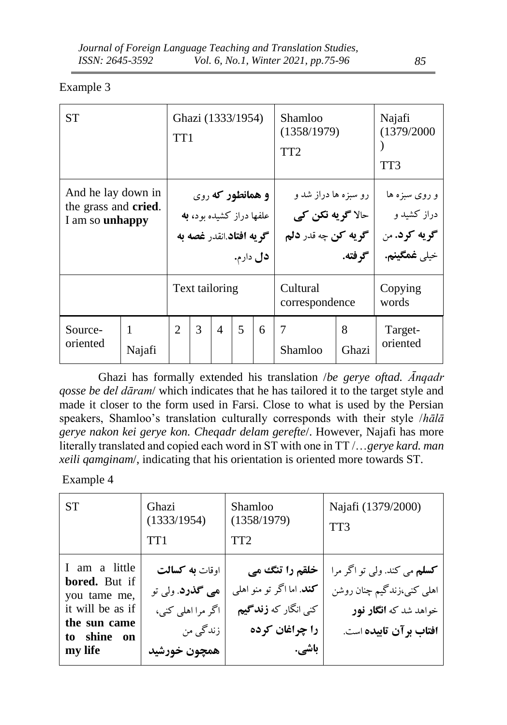# Example 3

| <b>ST</b>                                                     | Ghazi (1333/1954)<br>TT <sub>1</sub> |                             |   |                                                                                 |          |   | Shamloo<br>(1358/1979)<br>TT <sub>2</sub>                        | Najafi<br>(1379/2000<br>TT3 |                                                                            |
|---------------------------------------------------------------|--------------------------------------|-----------------------------|---|---------------------------------------------------------------------------------|----------|---|------------------------------------------------------------------|-----------------------------|----------------------------------------------------------------------------|
| And he lay down in<br>the grass and cried.<br>I am so unhappy |                                      |                             |   | <b>و همانطور که</b> روي<br>علفها دراز كشيده بود، به<br>گو په افتاد انقدر غصه به | دل دارم. |   | رو سبزه ها دراز شد و<br>  حالا گويه نکن کي<br>گويه کن چه قدر دلم | گو فته.                     | و روی سبزه ها<br>دراز کشید و<br><b>گريه کرد.</b> من<br>خيلي <b>غمگينم.</b> |
|                                                               |                                      |                             |   | Text tailoring                                                                  |          |   | Cultural<br>correspondence                                       |                             | Copying<br>words                                                           |
| Source-<br>oriented                                           | 1<br>Najafi                          | $\mathcal{D}_{\mathcal{L}}$ | 3 | $\overline{4}$                                                                  | 5        | 6 | $\overline{7}$<br>Shamloo                                        | 8<br>Ghazi                  | Target-<br>oriented                                                        |

Ghazi has formally extended his translation /*be gerye oftad. Ānqadr qosse be del dāram*/ which indicates that he has tailored it to the target style and made it closer to the form used in Farsi. Close to what is used by the Persian speakers, Shamloo's translation culturally corresponds with their style /*hālā gerye nakon kei gerye kon. Cheqadr delam gerefte*/. However, Najafi has more literally translated and copied each word in ST with one in TT /…*gerye kard. man xeili qamginam*/, indicating that his orientation is oriented more towards ST.

| <b>ST</b>                                                                                                    | Ghazi<br>(1333/1954)<br>TT <sub>1</sub>                                                           | Shamloo<br>(1358/1979)<br>TT <sub>2</sub>                                                                    | Najafi (1379/2000)<br>TT3                                                                                                 |
|--------------------------------------------------------------------------------------------------------------|---------------------------------------------------------------------------------------------------|--------------------------------------------------------------------------------------------------------------|---------------------------------------------------------------------------------------------------------------------------|
| I am a little<br>bored. But if<br>you tame me,<br>it will be as if<br>the sun came<br>to shine on<br>my life | اوقات <b>به کسالت</b><br><b>ھی گذرد</b> . ولی تو<br>اگر مرا اهلی کنی،<br>زندگی من<br>همچون خورشید | خلقم را تنگ می<br><b>کند</b> . اما اگر تو منو اهلی<br>کنی انگار که <b>زند گیم</b><br>را چراغان کرده<br>باشي. | <b>کسلم</b> می کند. ولي تو اگر مرا<br>اهلی کنی،زندگیم چنان روشن<br>خواهد شد که <b>انگار نور</b><br>افتاب برآن تابيده است. |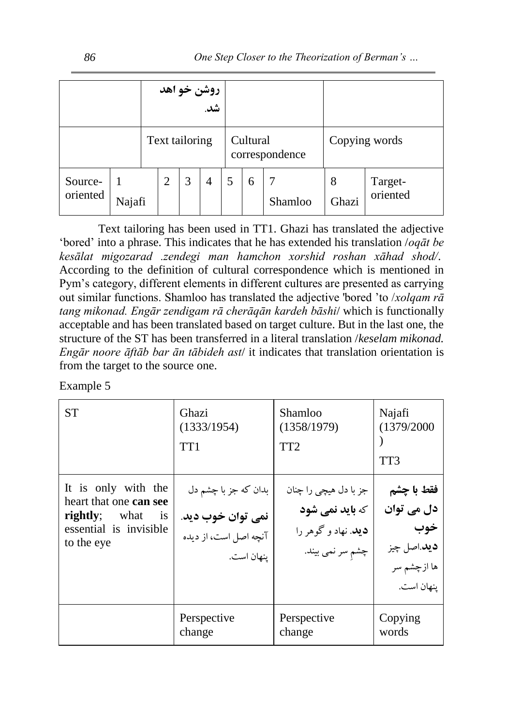| روشن خو آهد<br>شد.  |                |  |  |  |   |          |                |               |            |                     |
|---------------------|----------------|--|--|--|---|----------|----------------|---------------|------------|---------------------|
|                     | Text tailoring |  |  |  |   | Cultural | correspondence | Copying words |            |                     |
| Source-<br>oriented | Najafi         |  |  |  | 4 |          | 6              | Shamloo       | 8<br>Ghazi | Target-<br>oriented |

Text tailoring has been used in TT1. Ghazi has translated the adjective 'bored' into a phrase. This indicates that he has extended his translation /*oqāt be kesālat migozarad .zendegi man hamchon xorshid roshan xāhad shod/*. According to the definition of cultural correspondence which is mentioned in Pym's category, different elements in different cultures are presented as carrying out similar functions. Shamloo has translated the adjective 'bored 'to /*xolqam rā tang mikonad. Engār zendigam rā cherāqān kardeh bāshi*/ which is functionally acceptable and has been translated based on target culture. But in the last one, the structure of the ST has been transferred in a literal translation /*keselam mikonad. Engār noore āftāb bar ān tābideh ast*/ it indicates that translation orientation is from the target to the source one.

| <b>ST</b>                                                                                                                        | Ghazi                                                                            | Shamloo                                                                                            | Najafi                                                                              |
|----------------------------------------------------------------------------------------------------------------------------------|----------------------------------------------------------------------------------|----------------------------------------------------------------------------------------------------|-------------------------------------------------------------------------------------|
|                                                                                                                                  | (1333/1954)                                                                      | (1358/1979)                                                                                        | (1379/2000                                                                          |
|                                                                                                                                  | TT <sub>1</sub>                                                                  | TT <sub>2</sub>                                                                                    | TT3                                                                                 |
| It is only with the<br>heart that one can see<br><b>rightly</b> ; what<br>$\overline{1}$<br>essential is invisible<br>to the eye | بدان که جز با چشم دل<br>نمي توان خوب ديد.<br>آنچه اصل است، از دیده<br>ينهان است. | جز با دل هیچی را چنان<br><b>که باید نمی شود</b><br><b>ديد</b> . نهاد و گوهر را<br>چشم سر نمي بيند. | فقط با چشم<br>دل می توان<br>خوب<br><b>ديد</b> .اصل چيز<br>ها ازچشم سر<br>ينهان است. |
|                                                                                                                                  | Perspective                                                                      | Perspective                                                                                        | Copying                                                                             |
|                                                                                                                                  | change                                                                           | change                                                                                             | words                                                                               |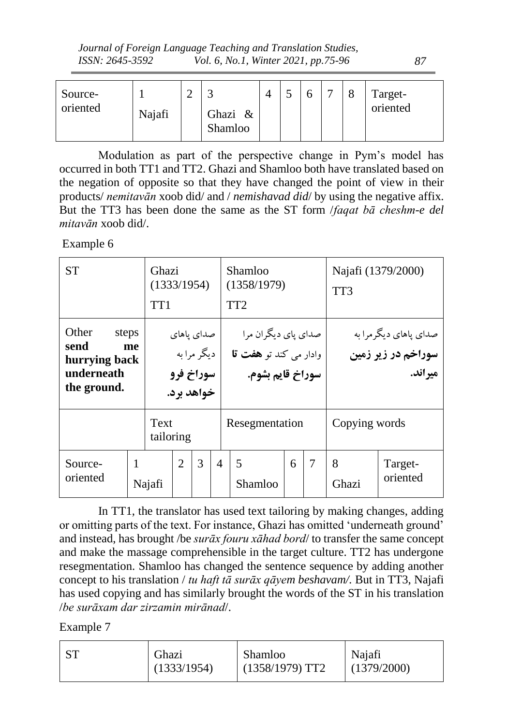|                 | Journal of Foreign Language Teaching and Translation Studies, |     |
|-----------------|---------------------------------------------------------------|-----|
| ISSN: 2645-3592 | Vol. 6, No.1, Winter 2021, pp.75-96                           | -87 |

| Source-<br>oriented | Najafi | ↩ | Ghazi<br>$\&$<br>Shamloo |  |  | Target-<br>oriented |
|---------------------|--------|---|--------------------------|--|--|---------------------|
|                     |        |   |                          |  |  |                     |

Modulation as part of the perspective change in Pym's model has occurred in both TT1 and TT2. Ghazi and Shamloo both have translated based on the negation of opposite so that they have changed the point of view in their products/ *nemitavān* xoob did/ and / *nemishavad did*/ by using the negative affix. But the TT3 has been done the same as the ST form /*faqat bā cheshm-e del mitavān* xoob did/.

Example 6

| <b>ST</b>                                                   |                   | Ghazi<br>(1333/1954)<br>TT <sub>1</sub> |                                         |            |                |  | Shamloo<br>(1358/1979)<br>TT <sub>2</sub>                         |                     |               | Najafi (1379/2000)<br>TT3                                |                     |  |  |
|-------------------------------------------------------------|-------------------|-----------------------------------------|-----------------------------------------|------------|----------------|--|-------------------------------------------------------------------|---------------------|---------------|----------------------------------------------------------|---------------------|--|--|
| Other<br>send<br>hurrying back<br>underneath<br>the ground. | steps<br>me       |                                         | صدای پاهای<br>  سوراخ فرو<br>خواهد برد. | دیگر مرابه |                |  | صدای پای دیگران مرا<br>وادار مي كند تو هفت قا<br>سوراخ قايم بشوم. |                     |               | صدای پاهای دیگر مرا به<br>سوراخم در زیر زمین<br>مير اند. |                     |  |  |
|                                                             | Text<br>tailoring |                                         |                                         |            | Resegmentation |  |                                                                   |                     | Copying words |                                                          |                     |  |  |
| Source-<br>oriented                                         |                   | Najafi                                  | $\overline{2}$                          | 3          | $\overline{4}$ |  | 5<br>Shamloo                                                      | $\overline{7}$<br>6 |               | 8<br>Ghazi                                               | Target-<br>oriented |  |  |

In TT1, the translator has used text tailoring by making changes, adding or omitting parts of the text. For instance, Ghazi has omitted 'underneath ground' and instead, has brought /be *surāx fouru xāhad bord*/ to transfer the same concept and make the massage comprehensible in the target culture. TT2 has undergone resegmentation. Shamloo has changed the sentence sequence by adding another concept to his translation / *tu haft tā surāx qāyem beshavam/.* But in TT3, Najafi has used copying and has similarly brought the words of the ST in his translation /*be surāxam dar zirzamin mirānad*/.

| ST<br>Ghazi<br>(1333/1954) | Shamloo<br>$(1358/1979)$ TT2 | Najafi<br>(1379/2000) |
|----------------------------|------------------------------|-----------------------|
|----------------------------|------------------------------|-----------------------|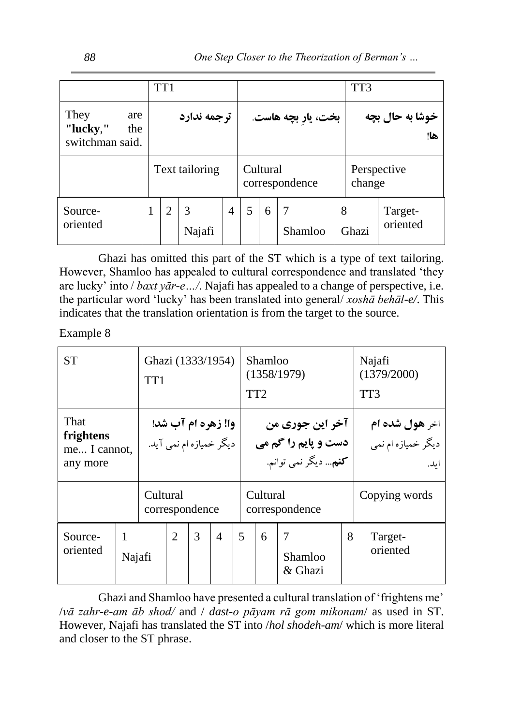|                                                   | TT <sub>1</sub> |                |   |                            |   |                    |   | TT3    |                        |  |
|---------------------------------------------------|-----------------|----------------|---|----------------------------|---|--------------------|---|--------|------------------------|--|
| They<br>are<br>"lucky,"<br>the<br>switchman said. | ترجمه ندارد     |                |   |                            |   | بخت، يار بچه هاست. |   |        | خوشا به حال بچه<br>ها! |  |
|                                                   |                 | Text tailoring |   | Cultural<br>correspondence |   |                    |   | change | Perspective            |  |
| Source-<br>oriented                               | 2               | Najafi         | 4 | 5                          | 6 | Shamloo            | 8 | Ghazi  | Target-<br>oriented    |  |

 Ghazi has omitted this part of the ST which is a type of text tailoring. However, Shamloo has appealed to cultural correspondence and translated 'they are lucky' into / *baxt yār-e…/*. Najafi has appealed to a change of perspective, i.e. the particular word 'lucky' has been translated into general/ *xoshā behāl-e/*. This indicates that the translation orientation is from the target to the source.

Example 8

| <b>ST</b><br>Ghazi (1333/1954)<br>TT <sub>1</sub> |                            |  |                                               |   |                          |          | Shamloo<br>(1358/1979)<br>TT <sub>2</sub>                              |                    | Najafi<br>(1379/2000)<br>TT3                          |                     |  |
|---------------------------------------------------|----------------------------|--|-----------------------------------------------|---|--------------------------|----------|------------------------------------------------------------------------|--------------------|-------------------------------------------------------|---------------------|--|
| That<br>frightens<br>me I cannot,<br>any more     |                            |  | وا! زهره ام آب شد!<br>دیگر خمیازه ام نمی آید. |   |                          |          | آخر این جوری من<br>دست و پایم را گم می<br><b>کنم</b> … دیگر نمی توانم. |                    | اخر <b>هول شده ام</b><br>دیگر خمیازه ام نمی<br>ا ىلە. |                     |  |
|                                                   | Cultural<br>correspondence |  |                                               |   |                          | Cultural | correspondence                                                         |                    | Copying words                                         |                     |  |
| Source-<br>oriented                               | 1<br>Najafi                |  | $\overline{2}$                                | 3 | $\overline{\mathcal{A}}$ | 5        | 6                                                                      | Shamloo<br>& Ghazi | 8                                                     | Target-<br>oriented |  |

Ghazi and Shamloo have presented a cultural translation of 'frightens me' /*vā zahr-e-am āb shod/* and / *dast-o pāyam rā gom mikonam*/ as used in ST. However, Najafi has translated the ST into /*hol shodeh-am*/ which is more literal and closer to the ST phrase.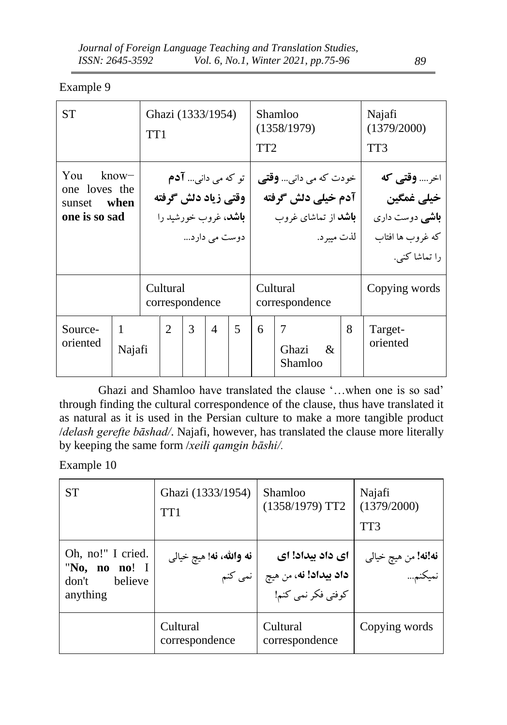# Example 9

| <b>ST</b>                                                              |                        | Ghazi (1333/1954)<br>TT <sub>1</sub>                  |                |                                          |                | TT <sub>2</sub>                                                                                  | Shamloo<br>(1358/1979) | Najafi<br>(1379/2000)<br>TT3 |   |                                                                                                |                     |
|------------------------------------------------------------------------|------------------------|-------------------------------------------------------|----------------|------------------------------------------|----------------|--------------------------------------------------------------------------------------------------|------------------------|------------------------------|---|------------------------------------------------------------------------------------------------|---------------------|
| You<br>$k$ now $-$<br>one loves the<br>when<br>sunset<br>one is so sad |                        | وقتي زياد دلش گرفته<br>  <b>باشد</b> ، غروب خورشید را |                | تو که می دانی <b>آدم</b><br>دوست می دارد |                | خودت که می دانی <b>وقتی</b><br>آدم خیلی دلش گرفته<br><b>باشد</b> از تماشای غروب<br>  لذت میبر د. |                        |                              |   | اخر <b>وقتی که</b><br>خيلى غمگين<br><b>باشی</b> دوست داری<br>كه غروب ها افتاب<br>را تماشا كنى. |                     |
|                                                                        |                        | Cultural<br>correspondence                            |                |                                          |                | Cultural<br>correspondence                                                                       |                        |                              |   | Copying words                                                                                  |                     |
| Source-<br>oriented                                                    | $\mathbf{1}$<br>Najafi |                                                       | $\overline{2}$ | 3                                        | $\overline{4}$ | 5                                                                                                | 6                      | 7<br>Ghazi<br>Shamloo        | & | 8                                                                                              | Target-<br>oriented |

Ghazi and Shamloo have translated the clause '…when one is so sad' through finding the cultural correspondence of the clause, thus have translated it as natural as it is used in the Persian culture to make a more tangible product /*delash gerefte bāshad/*. Najafi, however, has translated the clause more literally by keeping the same form /*xeili qamgin bāshi/.*

| <b>ST</b>                                                          | Ghazi (1333/1954)<br>TT <sub>1</sub> | Shamloo<br>$(1358/1979)$ TT2                                                        | Najafi<br>(1379/2000)<br>TT3         |
|--------------------------------------------------------------------|--------------------------------------|-------------------------------------------------------------------------------------|--------------------------------------|
| Oh, no!" I cried.<br>"No, no no! I<br>believe<br>don't<br>anything | <b>نه والله، نه</b> ! هيچ خيالي      | ای داد بیداد! ای<br><b>داد بیداد! نه</b> ، من هیچ     نمی کنم<br>کوفتی فکر نمی کنم! | <b>نه!نه!</b> من هيچ خيالي<br>نميكنم |
|                                                                    | Cultural<br>correspondence           | Cultural<br>correspondence                                                          | Copying words                        |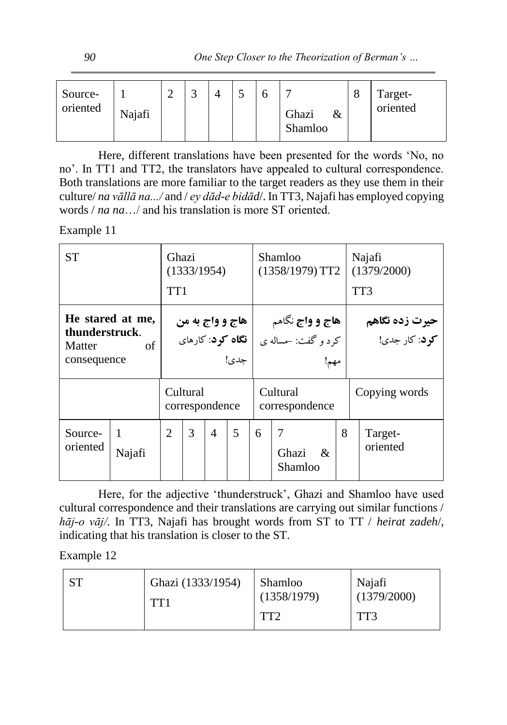Here, different translations have been presented for the words 'No, no no'. In TT1 and TT2, the translators have appealed to cultural correspondence. Both translations are more familiar to the target readers as they use them in their culture/ *na vāllā na.../* and / *ey dād-e bidād*/. In TT3, Najafi has employed copying words / *na na*…/ and his translation is more ST oriented.

## Example 11

| <b>ST</b>                                                   | Ghazi<br>TT <sub>1</sub> |          | (1333/1954)    |                                                     |                                                      | Shamloo<br>(1358/1979) T T2 |                  | Najafi<br>(1379/2000)<br>TT3 |                                                |                     |
|-------------------------------------------------------------|--------------------------|----------|----------------|-----------------------------------------------------|------------------------------------------------------|-----------------------------|------------------|------------------------------|------------------------------------------------|---------------------|
| He stared at me,<br>thunderstruck.<br>Matter<br>consequence |                          |          |                | هاج و واج به من<br><b>نگاه کود</b> : کارهای<br>حدي! | <b>هاج و واج</b> نگاهم<br>کرد و گفت: –مساله ی<br>مهم |                             |                  |                              | <b>حیرت زده نگاهم</b><br><b>کود</b> : کار جدی! |                     |
|                                                             |                          | Cultural | correspondence |                                                     | Cultural<br>correspondence                           |                             |                  |                              | Copying words                                  |                     |
| Source-<br>oriented                                         | 1<br>Najafi              | 2        | 3              | $\overline{4}$                                      | 5                                                    | 6                           | Ghazi<br>Shamloo | $\mathcal{R}$                | 8                                              | Target-<br>oriented |

Here, for the adjective 'thunderstruck', Ghazi and Shamloo have used cultural correspondence and their translations are carrying out similar functions / *hāj-o vāj/*. In TT3, Najafi has brought words from ST to TT / *heirat zadeh*/, indicating that his translation is closer to the ST.

| Ghazi (1333/1954)<br>TT1 | Shamloo<br>(1358/1979)<br>TT2 | Najafi<br>(1379/2000)<br>TT3 |
|--------------------------|-------------------------------|------------------------------|
|--------------------------|-------------------------------|------------------------------|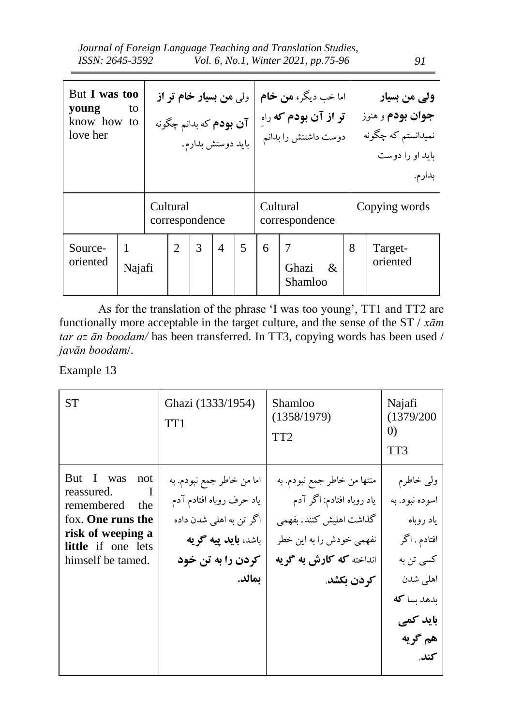| But I was too<br>young<br>to<br>know how to<br>love her |             | ول <sub>ی</sub> من بسیار خام تر از<br>آ <b>ن بودم</b> که بدانم چگونه<br>  باید دوستش بدارم. |   |                          |   |                            | اما خب ديگر، <b>من خام</b><br><b>تر از آن بودم که</b> راه<br>دوست داشتنش را بدانم |               | ولی من بسیار<br><b>جوان بودم و هنوز</b><br>نمیدانستم که چگونه<br>باید او را دوست<br>بدارم. |  |
|---------------------------------------------------------|-------------|---------------------------------------------------------------------------------------------|---|--------------------------|---|----------------------------|-----------------------------------------------------------------------------------|---------------|--------------------------------------------------------------------------------------------|--|
|                                                         | Cultural    | correspondence                                                                              |   |                          |   | Cultural<br>correspondence |                                                                                   | Copying words |                                                                                            |  |
| Source-<br>oriented                                     | 1<br>Najafi | 2                                                                                           | 3 | $\overline{\mathcal{A}}$ | 5 | 6                          | 7<br>Ghazi<br>&<br>Shamloo                                                        | 8             | Target-<br>oriented                                                                        |  |

As for the translation of the phrase 'I was too young', TT1 and TT2 are functionally more acceptable in the target culture, and the sense of the ST / *xām tar az ān boodam/* has been transferred*.* In TT3, copying words has been used / *javān boodam*/.

| <b>ST</b>                                                                                                                                       | Ghazi (1333/1954)<br>TT <sub>1</sub>                                                                                                            | Shamloo<br>(1358/1979)<br>TT <sub>2</sub>                                                                                                                | Najafi<br>(1379/200<br>$\left( 0\right)$<br>TT3                                                                                 |
|-------------------------------------------------------------------------------------------------------------------------------------------------|-------------------------------------------------------------------------------------------------------------------------------------------------|----------------------------------------------------------------------------------------------------------------------------------------------------------|---------------------------------------------------------------------------------------------------------------------------------|
| But I was<br>not<br>reassured.<br>remembered<br>the<br>fox. One runs the<br>risk of weeping a<br><b>little</b> if one lets<br>himself be tamed. | اما من خاطر جمع نبودم. به<br>ياد حرف روباه افتادم آدم<br>اگر تن به اهلی شدن داده<br>باشد <b>، باید پیه گو یه</b><br>کردن را به تن خود<br>يمالد. | منتها من خاطر جمع نبودم. به<br>یاد روباه افتادم: اگر آدم<br>گذاشت اهلیش کنند. بفهمی<br>نفهمي خودش را به اين خطر<br>انداخته که کارش به گریه<br>كردن بكشد. | ولبي خاطرم<br>اسوده نبود. به<br>ياد روباه<br>افتادم . اگر<br>کسی تن به<br>اهلی شدن<br>بدهد بسا كه<br>باید کمی<br>هم گريه<br>كند |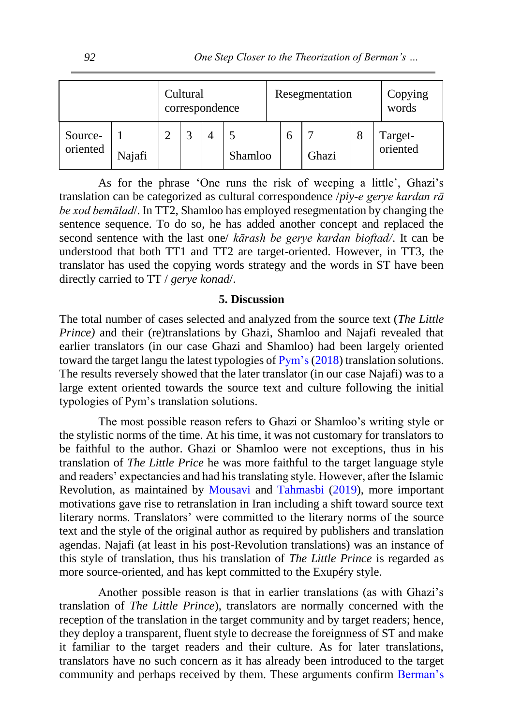|                     | Cultural<br>correspondence |  |  |  |         | Resegmentation | Copying<br>words |   |                     |
|---------------------|----------------------------|--|--|--|---------|----------------|------------------|---|---------------------|
| Source-<br>oriented | Najafi                     |  |  |  | Shamloo |                | Ghazi            | 8 | Target-<br>oriented |

As for the phrase 'One runs the risk of weeping a little', Ghazi's translation can be categorized as cultural correspondence /*piy-e gerye kardan rā be xod bemālad*/. In TT2, Shamloo has employed resegmentation by changing the sentence sequence. To do so, he has added another concept and replaced the second sentence with the last one/ *kārash be gerye kardan bioftad/*. It can be understood that both TT1 and TT2 are target-oriented. However, in TT3, the translator has used the copying words strategy and the words in ST have been directly carried to TT / *gerye konad*/.

## **5. Discussion**

The total number of cases selected and analyzed from the source text (*The Little Prince)* and their (re)translations by Ghazi, Shamloo and Najafi revealed that earlier translators (in our case Ghazi and Shamloo) had been largely oriented toward the target langu the latest typologies of [Pym's](#page-21-3) [\(2018\)](#page-21-3) translation solutions. The results reversely showed that the later translator (in our case Najafi) was to a large extent oriented towards the source text and culture following the initial typologies of Pym's translation solutions.

The most possible reason refers to Ghazi or Shamloo's writing style or the stylistic norms of the time. At his time, it was not customary for translators to be faithful to the author. Ghazi or Shamloo were not exceptions, thus in his translation of *The Little Price* he was more faithful to the target language style and readers' expectancies and had his translating style. However, after the Islamic Revolution, as maintained by [Mousavi](#page-20-4) and [Tahmasbi](#page-20-4) [\(2019\)](#page-20-4), more important motivations gave rise to retranslation in Iran including a shift toward source text literary norms. Translators' were committed to the literary norms of the source text and the style of the original author as required by publishers and translation agendas. Najafi (at least in his post-Revolution translations) was an instance of this style of translation, thus his translation of *The Little Prince* is regarded as more source-oriented, and has kept committed to the Exupéry style.

Another possible reason is that in earlier translations (as with Ghazi's translation of *The Little Prince*), translators are normally concerned with the reception of the translation in the target community and by target readers; hence, they deploy a transparent, fluent style to decrease the foreignness of ST and make it familiar to the target readers and their culture. As for later translations, translators have no such concern as it has already been introduced to the target community and perhaps received by them. These arguments confirm [Berman's](#page-19-1)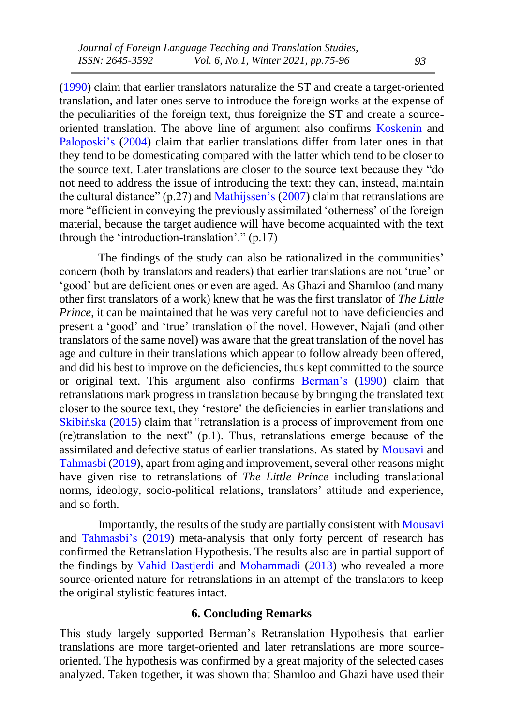[\(1990\)](#page-19-1) claim that earlier translators naturalize the ST and create a target-oriented translation, and later ones serve to introduce the foreign works at the expense of the peculiarities of the foreign text, thus foreignize the ST and create a sourceoriented translation. The above line of argument also confirms [Koskenin](#page-20-12) and [Paloposki's](#page-20-12) [\(2004\)](#page-20-12) claim that earlier translations differ from later ones in that they tend to be domesticating compared with the latter which tend to be closer to the source text. Later translations are closer to the source text because they "do not need to address the issue of introducing the text: they can, instead, maintain the cultural distance"  $(p.27)$  and [Mathijssen's](#page-20-11) [\(2007\)](#page-20-11) claim that retranslations are more "efficient in conveying the previously assimilated 'otherness' of the foreign material, because the target audience will have become acquainted with the text through the 'introduction-translation'." (p.17)

The findings of the study can also be rationalized in the communities' concern (both by translators and readers) that earlier translations are not 'true' or 'good' but are deficient ones or even are aged. As Ghazi and Shamloo (and many other first translators of a work) knew that he was the first translator of *The Little Prince*, it can be maintained that he was very careful not to have deficiencies and present a 'good' and 'true' translation of the novel. However, Najafi (and other translators of the same novel) was aware that the great translation of the novel has age and culture in their translations which appear to follow already been offered, and did his best to improve on the deficiencies, thus kept committed to the source or original text. This argument also confirms [Berman's](#page-19-1) [\(1990\)](#page-19-1) claim that retranslations mark progress in translation because by bringing the translated text closer to the source text, they 'restore' the deficiencies in earlier translations and [Skibińska](#page-21-6) [\(2015\)](#page-21-6) claim that "retranslation is a process of improvement from one  $(re)$ translation to the next"  $(p,1)$ . Thus, retranslations emerge because of the assimilated and defective status of earlier translations. As stated by [Mousavi](#page-20-4) and [Tahmasbi](#page-20-4) [\(2019\)](#page-20-4), apart from aging and improvement, several other reasons might have given rise to retranslations of *The Little Prince* including translational norms, ideology, socio-political relations, translators' attitude and experience, and so forth.

Importantly, the results of the study are partially consistent with [Mousavi](#page-20-4) and [Tahmasbi's](#page-20-4) [\(2019\)](#page-20-4) meta-analysis that only forty percent of research has confirmed the Retranslation Hypothesis. The results also are in partial support of the findings by Vahid Dastjerdi and Mohammadi (2013) who revealed a more source-oriented nature for retranslations in an attempt of the translators to keep the original stylistic features intact.

## **6. Concluding Remarks**

This study largely supported Berman's Retranslation Hypothesis that earlier translations are more target-oriented and later retranslations are more sourceoriented. The hypothesis was confirmed by a great majority of the selected cases analyzed. Taken together, it was shown that Shamloo and Ghazi have used their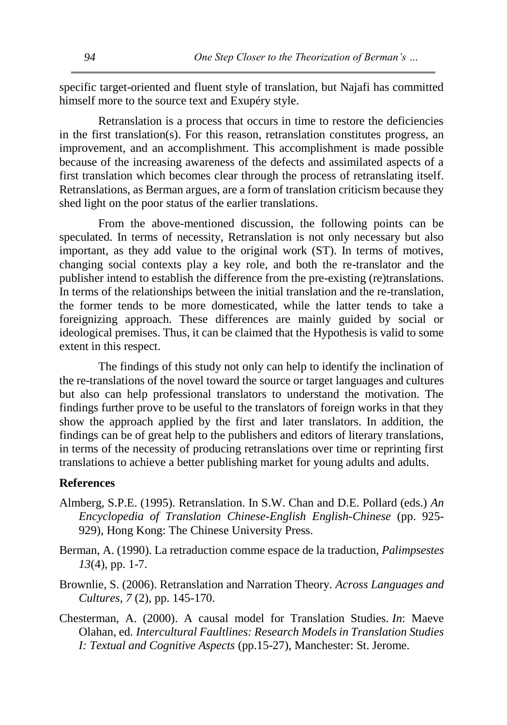specific target-oriented and fluent style of translation, but Najafi has committed himself more to the source text and Exupéry style.

Retranslation is a process that occurs in time to restore the deficiencies in the first translation(s). For this reason, retranslation constitutes progress, an improvement, and an accomplishment. This accomplishment is made possible because of the increasing awareness of the defects and assimilated aspects of a first translation which becomes clear through the process of retranslating itself. Retranslations, as Berman argues, are a form of translation criticism because they shed light on the poor status of the earlier translations.

From the above-mentioned discussion, the following points can be speculated. In terms of necessity, Retranslation is not only necessary but also important, as they add value to the original work (ST). In terms of motives, changing social contexts play a key role, and both the re-translator and the publisher intend to establish the difference from the pre-existing (re)translations. In terms of the relationships between the initial translation and the re-translation, the former tends to be more domesticated, while the latter tends to take a foreignizing approach. These differences are mainly guided by social or ideological premises. Thus, it can be claimed that the Hypothesis is valid to some extent in this respect.

The findings of this study not only can help to identify the inclination of the re-translations of the novel toward the source or target languages and cultures but also can help professional translators to understand the motivation. The findings further prove to be useful to the translators of foreign works in that they show the approach applied by the first and later translators. In addition, the findings can be of great help to the publishers and editors of literary translations, in terms of the necessity of producing retranslations over time or reprinting first translations to achieve a better publishing market for young adults and adults.

### **References**

- <span id="page-19-2"></span>Almberg, S.P.E. (1995). Retranslation. In S.W. Chan and D.E. Pollard (eds.) *An Encyclopedia of Translation Chinese-English English-Chinese* (pp. 925- 929), Hong Kong: The Chinese University Press.
- <span id="page-19-1"></span>Berman, A. (1990). La retraduction comme espace de la traduction, *Palimpsestes 13*(4), pp. 1-7.
- <span id="page-19-0"></span>Brownlie, S. (2006). Retranslation and Narration Theory. *Across Languages and Cultures, 7* (2), pp. 145-170.
- <span id="page-19-3"></span>Chesterman, A. (2000). A causal model for Translation Studies. *In*: Maeve Olahan, ed. *Intercultural Faultlines: Research Models in Translation Studies I: Textual and Cognitive Aspects* (pp.15-27), Manchester: St. Jerome.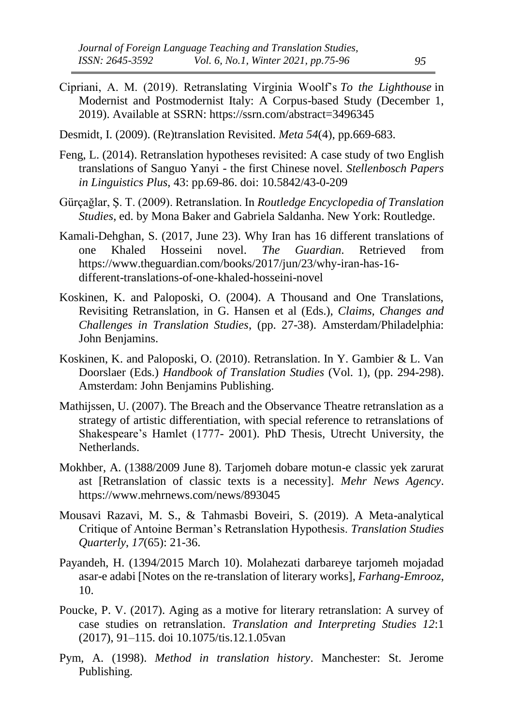- <span id="page-20-5"></span>Cipriani, A. M. (2019). Retranslating Virginia Woolf's *To the Lighthouse* in Modernist and Postmodernist Italy: A Corpus-based Study (December 1, 2019). Available at SSRN: <https://ssrn.com/abstract=3496345>
- <span id="page-20-7"></span>Desmidt, I. (2009). (Re)translation Revisited. *Meta 54*(4), pp.669-683.
- <span id="page-20-6"></span>Feng, L. (2014). Retranslation hypotheses revisited: A case study of two English translations of Sanguo Yanyi - the first Chinese novel. *Stellenbosch Papers in Linguistics Plus*, 43: pp.69-86. doi: 10.5842/43-0-209
- <span id="page-20-3"></span>Gürçağlar, Ş. T. (2009). Retranslation. In *Routledge Encyclopedia of Translation Studies*, ed. by Mona Baker and Gabriela Saldanha. New York: Routledge.
- <span id="page-20-1"></span>Kamali-Dehghan, S. (2017, June 23). Why Iran has 16 different translations of one Khaled Hosseini novel. *The Guardian*. Retrieved from https://www.theguardian.com/books/2017/jun/23/why-iran-has-16 different-translations-of-one-khaled-hosseini-novel
- <span id="page-20-0"></span>Koskinen, K. and Paloposki, O. (2004). A Thousand and One Translations, Revisiting Retranslation, in G. Hansen et al (Eds.), *Claims, Changes and Challenges in Translation Studies*, (pp. 27-38). Amsterdam/Philadelphia: John Benjamins.
- <span id="page-20-12"></span>Koskinen, K. and Paloposki, O. (2010). Retranslation. In Y. Gambier & L. Van Doorslaer (Eds.) *Handbook of Translation Studies* (Vol. 1), (pp. 294-298). Amsterdam: John Benjamins Publishing.
- <span id="page-20-11"></span>Mathijssen, U. (2007). The Breach and the Observance Theatre retranslation as a strategy of artistic differentiation, with special reference to retranslations of Shakespeare's Hamlet (1777- 2001). PhD Thesis, Utrecht University, the Netherlands.
- <span id="page-20-9"></span>Mokhber, A. (1388/2009 June 8). Tarjomeh dobare motun-e classic yek zarurat ast [Retranslation of classic texts is a necessity]. *Mehr News Agency*. https://www.mehrnews.com/news/893045
- <span id="page-20-4"></span>Mousavi Razavi, M. S., & Tahmasbi Boveiri, S. (2019). A Meta-analytical Critique of Antoine Berman's Retranslation Hypothesis. *Translation Studies Quarterly*, *17*(65): 21-36.
- <span id="page-20-10"></span>Payandeh, H. (1394/2015 March 10). Molahezati darbareye tarjomeh mojadad asar-e adabi [Notes on the re-translation of literary works], *Farhang-Emrooz*, 10.
- <span id="page-20-2"></span>Poucke, P. V. (2017). Aging as a motive for literary retranslation: A survey of case studies on retranslation. *Translation and Interpreting Studies 12*:1 (2017), 91–115. doi 10.1075/tis.12.1.05van
- <span id="page-20-8"></span>Pym, A. (1998). *Method in translation history*. Manchester: St. Jerome Publishing.